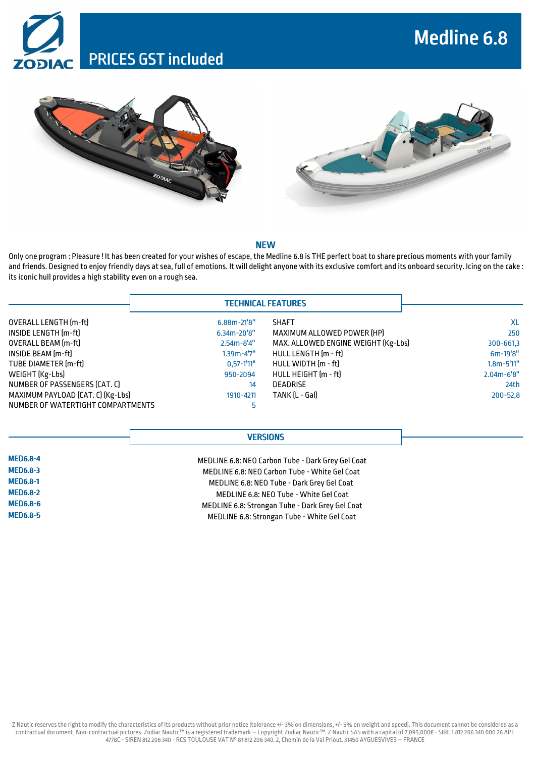







#### NEW

Only one program : Pleasure ! It has been created for your wishes of escape, the Medline 6.8 is THE perfect boat to share precious moments with your family and friends. Designed to enjoy friendly days at sea, full of emotions. It will delight anyone with its exclusive comfort and its onboard security. Icing on the cake : its iconic hull provides a high stability even on a rough sea.

|                                   | <b>TECHNICAL FEATURES</b> |                                     |                 |
|-----------------------------------|---------------------------|-------------------------------------|-----------------|
| OVERALL LENGTH [m-ft]             | $6.88m - 21'8''$          | <b>SHAFT</b>                        | XL              |
| INSIDE LENGTH [m-ft]              | $6.34m - 20'8''$          | MAXIMUM ALLOWED POWER [HP]          | 250             |
| <b>OVERALL BEAM</b> [m-ft]        | $2.54m - 8'4''$           | MAX. ALLOWED ENGINE WEIGHT [Kg-Lbs] | $300 - 661,3$   |
| INSIDE BEAM (m-ft)                | $1.39m - 4'7''$           | HULL LENGTH [m - ft]                | $6m-19'8''$     |
| TUBE DIAMETER [m-ft]              | $0,57-1'11"$              | HULL WIDTH [m - ft]                 | $1.8m - 5'11''$ |
| WEIGHT (Kg-Lbs)                   | 950-2094                  | HULL HEIGHT (m - ft)                | $2.04m - 6'8''$ |
| NUMBER OF PASSENGERS (CAT. C)     | 14                        | <b>DEADRISE</b>                     | 24th            |
| MAXIMUM PAYLOAD (CAT. C) [Kg-Lbs] | 1910-4211                 | TANK IL - Gall                      | $200 - 52,8$    |
| NUMBER OF WATERTIGHT COMPARTMENTS | 5                         |                                     |                 |

# **VERSIONS**

| <b>MED6.8-4</b> |  |
|-----------------|--|
| <b>MED6.8-3</b> |  |
| <b>MED6.8-1</b> |  |
| <b>MED6.8-2</b> |  |
| <b>MED6.8-6</b> |  |
| <b>MED6.8-5</b> |  |

MEDLINE 6.8: NEO Carbon Tube - Dark Grey Gel Coat MEDLINE 6.8: NEO Carbon Tube - White Gel Coat MEDLINE 6.8: NEO Tube - Dark Grey Gel Coat MEDLINE 6.8: NEO Tube - White Gel Coat MEDLINE 6.8: Strongan Tube - Dark Grey Gel Coat MEDLINE 6.8: Strongan Tube - White Gel Coat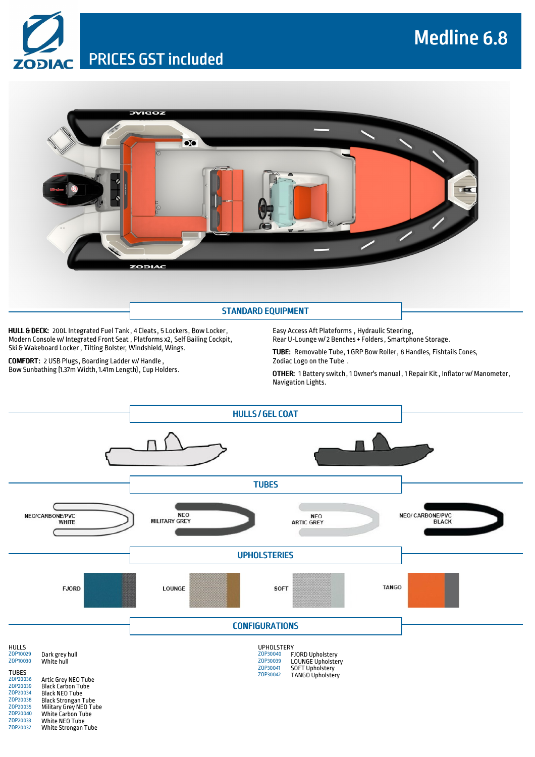# Medline 6.8

PRICES GST included



HULL & DECK: 200L Integrated Fuel Tank , 4 Cleats, 5 Lockers, Bow Locker, Modern Console w/ Integrated Front Seat , Platforms x2, Self Bailing Cockpit, Ski & Wakeboard Locker , Tilting Bolster, Windshield, Wings.

COMFORT: 2 USB Plugs, Boarding Ladder w/ Handle , Bow Sunbathing (1.37m Width, 1.41m Length), Cup Holders. Easy Access Aft Plateforms , Hydraulic Steering, Rear U-Lounge w/2 Benches+ Folders, Smartphone Storage.

TUBE: Removable Tube, 1 GRP Bow Roller, 8 Handles, Fishtails Cones, Zodiac Logo on the Tube .

OTHER: 1 Battery switch, 1 Owner's manual , 1 Repair Kit, Inflator w/ Manometer, Navigation Lights.